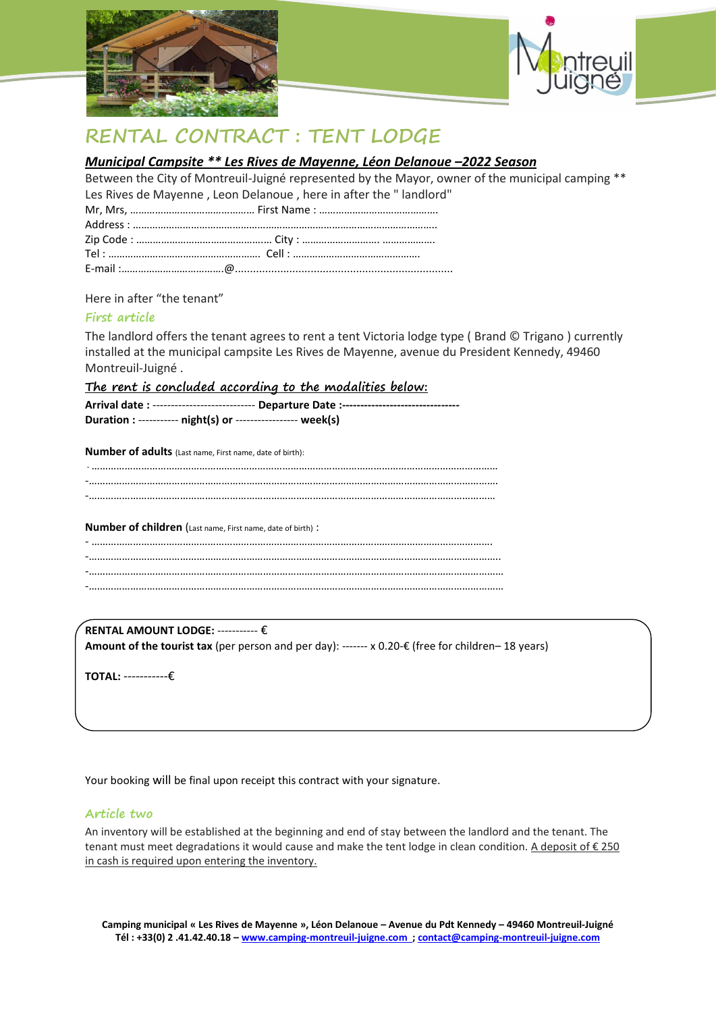



# **RENTAL CONTRACT : TENT LODGE**

### *Municipal Campsite \*\* Les Rives de Mayenne, Léon Delanoue –2022 Season*

Between the City of Montreuil-Juigné represented by the Mayor, owner of the municipal camping \*\* Les Rives de Mayenne , Leon Delanoue , here in after the " landlord"

Here in after "the tenant"

#### **First article**

The landlord offers the tenant agrees to rent a tent Victoria lodge type ( Brand © Trigano ) currently installed at the municipal campsite Les Rives de Mayenne, avenue du President Kennedy, 49460 Montreuil-Juigné .

**The rent is concluded according to the modalities below:**

|                                                             | Arrival date: ---------------------------- Departure Date: -------------------------------- |
|-------------------------------------------------------------|---------------------------------------------------------------------------------------------|
| Duration : ----------- night(s) or ---------------- week(s) |                                                                                             |

**Number of adults** (Last name, First name, date of birth):

-………………………………………………………………………………………………………………………………… -…………………………………………………………………………………………………………………………………. -…………………………………………………………………………………………………………………………………

#### **Number of children** (Last name, First name, date of birth) :

**RENTAL AMOUNT LODGE:** ----------- € **Amount of the tourist tax** (per person and per day): ------- x 0.20-€ (free for children– 18 years)

**TOTAL:** -----------€

Your booking will be final upon receipt this contract with your signature.

#### **Article two**

An inventory will be established at the beginning and end of stay between the landlord and the tenant. The tenant must meet degradations it would cause and make the tent lodge in clean condition. A deposit of  $\epsilon$  250 in cash is required upon entering the inventory.